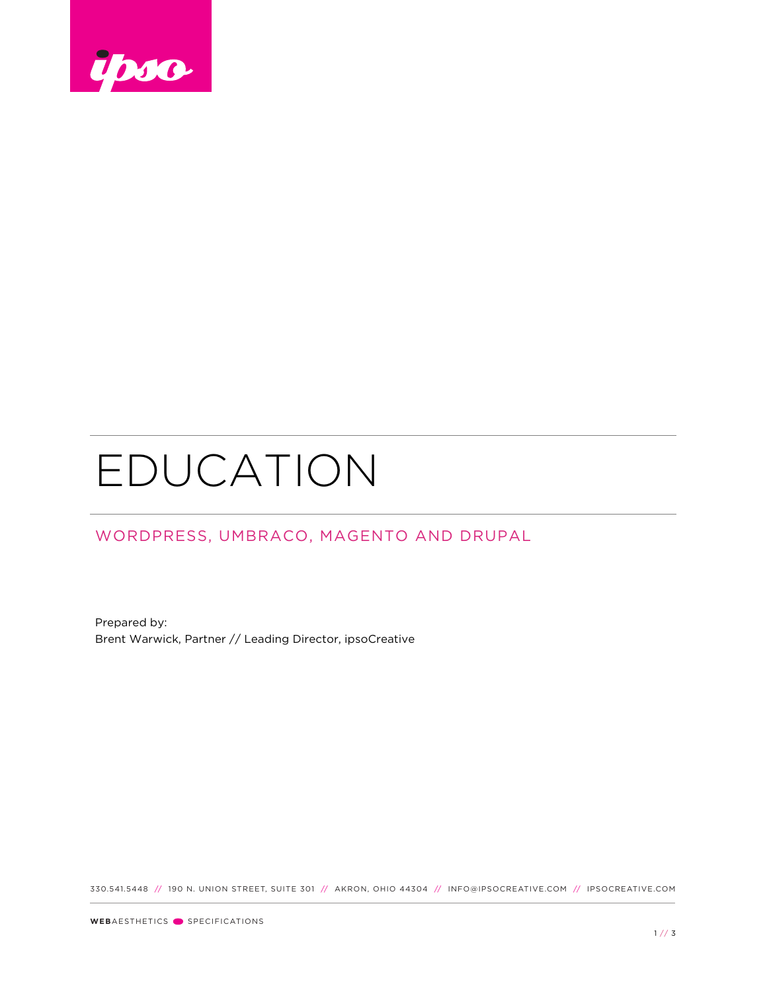

## EDUCATION

## WORDPRESS, UMBRACO, MAGENTO AND DRUPAL

Prepared by: Brent Warwick, Partner // Leading Director, ipsoCreative

330.541.5448 // 190 N. UNION STREET, SUITE 301 // AKRON, OHIO 44304 // INFO@IPSOCREATIVE.COM // IPSOCREATIVE.COM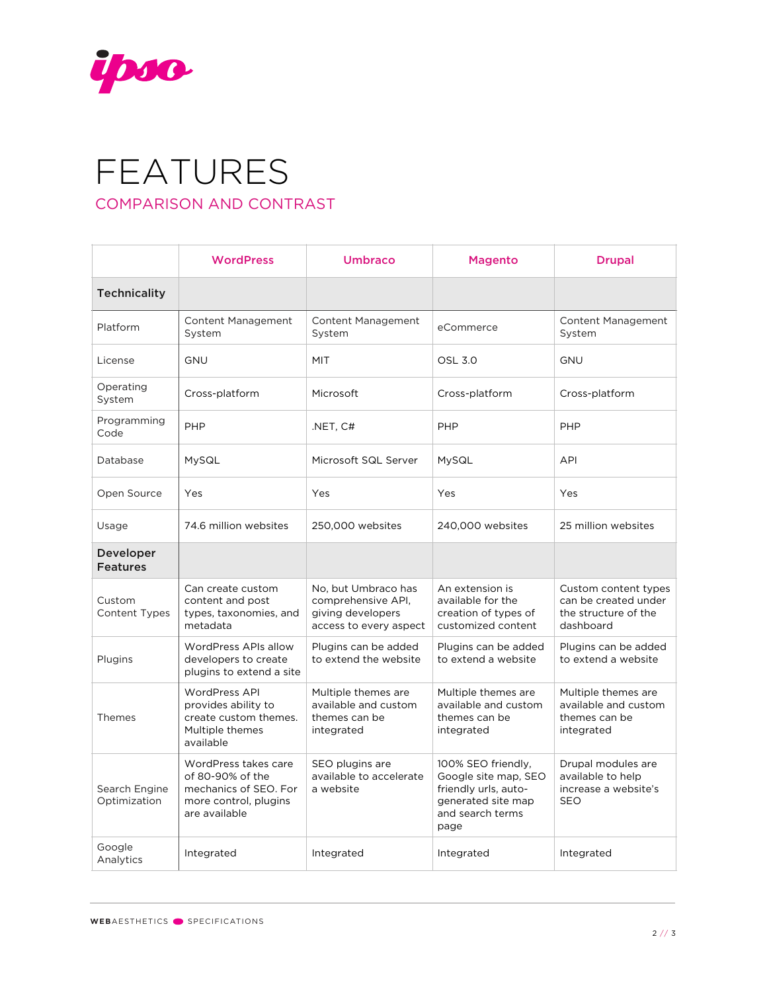

## FEATURES COMPARISON AND CONTRAST

|                                     | <b>WordPress</b>                                                                                            | Umbraco                                                                                  | <b>Magento</b>                                                                                                       | <b>Drupal</b>                                                                     |
|-------------------------------------|-------------------------------------------------------------------------------------------------------------|------------------------------------------------------------------------------------------|----------------------------------------------------------------------------------------------------------------------|-----------------------------------------------------------------------------------|
| <b>Technicality</b>                 |                                                                                                             |                                                                                          |                                                                                                                      |                                                                                   |
| Platform                            | <b>Content Management</b><br>System                                                                         | <b>Content Management</b><br>System                                                      | eCommerce                                                                                                            | <b>Content Management</b><br>System                                               |
| License                             | <b>GNU</b>                                                                                                  | <b>MIT</b>                                                                               | <b>OSL 3.0</b>                                                                                                       | <b>GNU</b>                                                                        |
| Operating<br>System                 | Cross-platform                                                                                              | Microsoft                                                                                | Cross-platform                                                                                                       | Cross-platform                                                                    |
| Programming<br>Code                 | PHP                                                                                                         | .NET, C#                                                                                 | PHP                                                                                                                  | PHP                                                                               |
| Database                            | MySQL                                                                                                       | Microsoft SQL Server                                                                     | MySQL                                                                                                                | <b>API</b>                                                                        |
| Open Source                         | Yes                                                                                                         | Yes                                                                                      | Yes                                                                                                                  | Yes                                                                               |
| Usage                               | 74.6 million websites                                                                                       | 250,000 websites                                                                         | 240,000 websites                                                                                                     | 25 million websites                                                               |
| <b>Developer</b><br><b>Features</b> |                                                                                                             |                                                                                          |                                                                                                                      |                                                                                   |
| Custom<br>Content Types             | Can create custom<br>content and post<br>types, taxonomies, and<br>metadata                                 | No, but Umbraco has<br>comprehensive API.<br>giving developers<br>access to every aspect | An extension is<br>available for the<br>creation of types of<br>customized content                                   | Custom content types<br>can be created under<br>the structure of the<br>dashboard |
| Plugins                             | WordPress APIs allow<br>developers to create<br>plugins to extend a site                                    | Plugins can be added<br>to extend the website                                            | Plugins can be added<br>to extend a website                                                                          | Plugins can be added<br>to extend a website                                       |
| Themes                              | <b>WordPress API</b><br>provides ability to<br>create custom themes.<br>Multiple themes<br>available        | Multiple themes are<br>available and custom<br>themes can be<br>integrated               | Multiple themes are<br>available and custom<br>themes can be<br>integrated                                           | Multiple themes are<br>available and custom<br>themes can be<br>integrated        |
| Search Engine<br>Optimization       | WordPress takes care<br>of 80-90% of the<br>mechanics of SEO. For<br>more control, plugins<br>are available | SEO plugins are<br>available to accelerate<br>a website                                  | 100% SEO friendly,<br>Google site map, SEO<br>friendly urls, auto-<br>generated site map<br>and search terms<br>page | Drupal modules are<br>available to help<br>increase a website's<br><b>SEO</b>     |
| Google<br>Analytics                 | Integrated                                                                                                  | Integrated                                                                               | Integrated                                                                                                           | Integrated                                                                        |